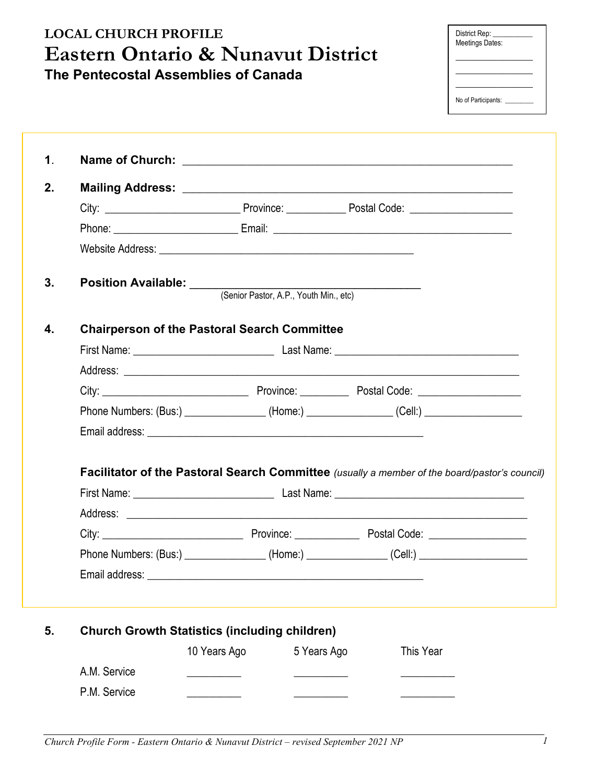| <b>LOCAL CHURCH PROFILE</b><br><b>Eastern Ontario &amp; Nunavut District</b> |                                                                                               |              |                                                                                   |                                                                                                      | District Rep:<br>Meetings Dates:                                         |  |  |
|------------------------------------------------------------------------------|-----------------------------------------------------------------------------------------------|--------------|-----------------------------------------------------------------------------------|------------------------------------------------------------------------------------------------------|--------------------------------------------------------------------------|--|--|
|                                                                              | The Pentecostal Assemblies of Canada                                                          |              |                                                                                   |                                                                                                      |                                                                          |  |  |
|                                                                              |                                                                                               |              |                                                                                   |                                                                                                      | <u> 1999 - Johann Barbara, martin a</u><br>No of Participants: _________ |  |  |
| $\mathbf 1$ .                                                                |                                                                                               |              |                                                                                   |                                                                                                      |                                                                          |  |  |
|                                                                              |                                                                                               |              |                                                                                   |                                                                                                      |                                                                          |  |  |
| 2.                                                                           |                                                                                               |              |                                                                                   |                                                                                                      |                                                                          |  |  |
|                                                                              |                                                                                               |              |                                                                                   |                                                                                                      |                                                                          |  |  |
|                                                                              |                                                                                               |              |                                                                                   |                                                                                                      |                                                                          |  |  |
|                                                                              |                                                                                               |              |                                                                                   |                                                                                                      |                                                                          |  |  |
| 3.                                                                           |                                                                                               |              |                                                                                   |                                                                                                      |                                                                          |  |  |
|                                                                              | <b>Position Available:</b> (Senior Pastor, A.P., Youth Min., etc)                             |              |                                                                                   |                                                                                                      |                                                                          |  |  |
|                                                                              |                                                                                               |              |                                                                                   |                                                                                                      |                                                                          |  |  |
| 4.                                                                           | <b>Chairperson of the Pastoral Search Committee</b>                                           |              |                                                                                   |                                                                                                      |                                                                          |  |  |
|                                                                              |                                                                                               |              |                                                                                   |                                                                                                      |                                                                          |  |  |
|                                                                              |                                                                                               |              |                                                                                   |                                                                                                      |                                                                          |  |  |
|                                                                              |                                                                                               |              |                                                                                   |                                                                                                      |                                                                          |  |  |
|                                                                              |                                                                                               |              | Phone Numbers: (Bus:) _______________(Home:) _______________(Cell:) _____________ |                                                                                                      |                                                                          |  |  |
|                                                                              |                                                                                               |              |                                                                                   |                                                                                                      |                                                                          |  |  |
|                                                                              |                                                                                               |              |                                                                                   |                                                                                                      |                                                                          |  |  |
|                                                                              | Facilitator of the Pastoral Search Committee (usually a member of the board/pastor's council) |              |                                                                                   |                                                                                                      |                                                                          |  |  |
|                                                                              |                                                                                               |              |                                                                                   |                                                                                                      |                                                                          |  |  |
|                                                                              |                                                                                               |              |                                                                                   |                                                                                                      |                                                                          |  |  |
|                                                                              |                                                                                               |              |                                                                                   |                                                                                                      |                                                                          |  |  |
|                                                                              |                                                                                               |              |                                                                                   | Phone Numbers: (Bus:) _________________(Home:) _______________(Cell:) ______________________________ |                                                                          |  |  |
|                                                                              |                                                                                               |              |                                                                                   |                                                                                                      |                                                                          |  |  |
| 5.                                                                           | <b>Church Growth Statistics (including children)</b>                                          |              |                                                                                   |                                                                                                      |                                                                          |  |  |
|                                                                              |                                                                                               | 10 Years Ago | 5 Years Ago                                                                       | This Year                                                                                            |                                                                          |  |  |
|                                                                              | A.M. Service                                                                                  |              |                                                                                   |                                                                                                      |                                                                          |  |  |
|                                                                              | P.M. Service                                                                                  |              |                                                                                   |                                                                                                      |                                                                          |  |  |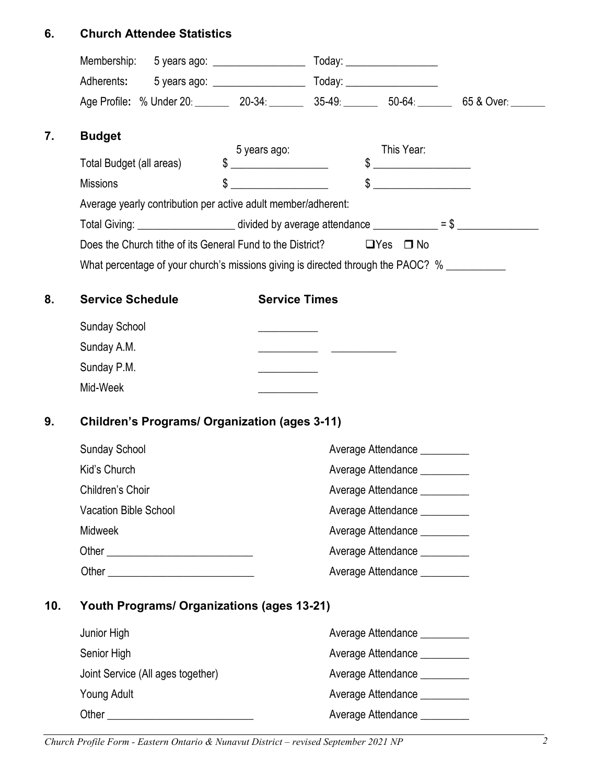# **6. Church Attendee Statistics**

|     | Age Profile: % Under 20: 20-34: 35-49: 35-49: 50-64: 65 & Over:                                       |                                                                                                                                                                                                                                                                                                                                                                     |                              |                                                                                                                                                                                                                                                                                                                                                                     |  |  |  |
|-----|-------------------------------------------------------------------------------------------------------|---------------------------------------------------------------------------------------------------------------------------------------------------------------------------------------------------------------------------------------------------------------------------------------------------------------------------------------------------------------------|------------------------------|---------------------------------------------------------------------------------------------------------------------------------------------------------------------------------------------------------------------------------------------------------------------------------------------------------------------------------------------------------------------|--|--|--|
| 7.  | <b>Budget</b>                                                                                         | 5 years ago:                                                                                                                                                                                                                                                                                                                                                        |                              | This Year:                                                                                                                                                                                                                                                                                                                                                          |  |  |  |
|     | Total Budget (all areas)                                                                              | $\begin{picture}(20,10) \put(0,0){\vector(1,0){100}} \put(15,0){\vector(1,0){100}} \put(15,0){\vector(1,0){100}} \put(15,0){\vector(1,0){100}} \put(15,0){\vector(1,0){100}} \put(15,0){\vector(1,0){100}} \put(15,0){\vector(1,0){100}} \put(15,0){\vector(1,0){100}} \put(15,0){\vector(1,0){100}} \put(15,0){\vector(1,0){100}} \put(15,0){\vector(1,0){100}} \$ |                              | $\begin{picture}(20,10) \put(0,0){\vector(1,0){100}} \put(15,0){\vector(1,0){100}} \put(15,0){\vector(1,0){100}} \put(15,0){\vector(1,0){100}} \put(15,0){\vector(1,0){100}} \put(15,0){\vector(1,0){100}} \put(15,0){\vector(1,0){100}} \put(15,0){\vector(1,0){100}} \put(15,0){\vector(1,0){100}} \put(15,0){\vector(1,0){100}} \put(15,0){\vector(1,0){100}} \$ |  |  |  |
|     | <b>Missions</b>                                                                                       | $\frac{1}{2}$                                                                                                                                                                                                                                                                                                                                                       |                              | $\begin{picture}(20,10) \put(0,0){\vector(1,0){100}} \put(15,0){\vector(1,0){100}} \put(15,0){\vector(1,0){100}} \put(15,0){\vector(1,0){100}} \put(15,0){\vector(1,0){100}} \put(15,0){\vector(1,0){100}} \put(15,0){\vector(1,0){100}} \put(15,0){\vector(1,0){100}} \put(15,0){\vector(1,0){100}} \put(15,0){\vector(1,0){100}} \put(15,0){\vector(1,0){100}} \$ |  |  |  |
|     | Average yearly contribution per active adult member/adherent:                                         |                                                                                                                                                                                                                                                                                                                                                                     |                              |                                                                                                                                                                                                                                                                                                                                                                     |  |  |  |
|     | Total Giving: ________________________ divided by average attendance ____________ = \$ ______________ |                                                                                                                                                                                                                                                                                                                                                                     |                              |                                                                                                                                                                                                                                                                                                                                                                     |  |  |  |
|     | Does the Church tithe of its General Fund to the District?                                            |                                                                                                                                                                                                                                                                                                                                                                     |                              | $\Box$ Yes $\Box$ No                                                                                                                                                                                                                                                                                                                                                |  |  |  |
|     | What percentage of your church's missions giving is directed through the PAOC? %                      |                                                                                                                                                                                                                                                                                                                                                                     |                              |                                                                                                                                                                                                                                                                                                                                                                     |  |  |  |
| 8.  | <b>Service Schedule</b>                                                                               | <b>Service Times</b>                                                                                                                                                                                                                                                                                                                                                |                              |                                                                                                                                                                                                                                                                                                                                                                     |  |  |  |
|     | <b>Sunday School</b>                                                                                  |                                                                                                                                                                                                                                                                                                                                                                     |                              |                                                                                                                                                                                                                                                                                                                                                                     |  |  |  |
|     | Sunday A.M.                                                                                           |                                                                                                                                                                                                                                                                                                                                                                     |                              |                                                                                                                                                                                                                                                                                                                                                                     |  |  |  |
|     | Sunday P.M.                                                                                           |                                                                                                                                                                                                                                                                                                                                                                     |                              |                                                                                                                                                                                                                                                                                                                                                                     |  |  |  |
|     | Mid-Week                                                                                              |                                                                                                                                                                                                                                                                                                                                                                     |                              |                                                                                                                                                                                                                                                                                                                                                                     |  |  |  |
|     |                                                                                                       |                                                                                                                                                                                                                                                                                                                                                                     |                              |                                                                                                                                                                                                                                                                                                                                                                     |  |  |  |
| 9.  | <b>Children's Programs/ Organization (ages 3-11)</b>                                                  |                                                                                                                                                                                                                                                                                                                                                                     |                              |                                                                                                                                                                                                                                                                                                                                                                     |  |  |  |
|     | Sunday School                                                                                         |                                                                                                                                                                                                                                                                                                                                                                     |                              | Average Attendance                                                                                                                                                                                                                                                                                                                                                  |  |  |  |
|     | Kid's Church                                                                                          |                                                                                                                                                                                                                                                                                                                                                                     |                              | Average Attendance __________                                                                                                                                                                                                                                                                                                                                       |  |  |  |
|     | Children's Choir                                                                                      |                                                                                                                                                                                                                                                                                                                                                                     | Average Attendance           |                                                                                                                                                                                                                                                                                                                                                                     |  |  |  |
|     | Vacation Bible School                                                                                 |                                                                                                                                                                                                                                                                                                                                                                     |                              | Average Attendance __________                                                                                                                                                                                                                                                                                                                                       |  |  |  |
|     | <b>Midweek</b>                                                                                        |                                                                                                                                                                                                                                                                                                                                                                     | Average Attendance _________ |                                                                                                                                                                                                                                                                                                                                                                     |  |  |  |
|     |                                                                                                       |                                                                                                                                                                                                                                                                                                                                                                     | Average Attendance _________ |                                                                                                                                                                                                                                                                                                                                                                     |  |  |  |
|     |                                                                                                       |                                                                                                                                                                                                                                                                                                                                                                     |                              | Average Attendance _________                                                                                                                                                                                                                                                                                                                                        |  |  |  |
| 10. | <b>Youth Programs/ Organizations (ages 13-21)</b>                                                     |                                                                                                                                                                                                                                                                                                                                                                     |                              |                                                                                                                                                                                                                                                                                                                                                                     |  |  |  |
|     | Junior High                                                                                           |                                                                                                                                                                                                                                                                                                                                                                     |                              | Average Attendance _________                                                                                                                                                                                                                                                                                                                                        |  |  |  |
|     | Senior High                                                                                           |                                                                                                                                                                                                                                                                                                                                                                     |                              | Average Attendance _________                                                                                                                                                                                                                                                                                                                                        |  |  |  |
|     | Joint Service (All ages together)                                                                     |                                                                                                                                                                                                                                                                                                                                                                     |                              | Average Attendance _________                                                                                                                                                                                                                                                                                                                                        |  |  |  |
|     | Young Adult                                                                                           |                                                                                                                                                                                                                                                                                                                                                                     |                              | Average Attendance _________                                                                                                                                                                                                                                                                                                                                        |  |  |  |
|     |                                                                                                       |                                                                                                                                                                                                                                                                                                                                                                     |                              | Average Attendance _________                                                                                                                                                                                                                                                                                                                                        |  |  |  |

*Church Profile Form - Eastern Ontario & Nunavut District – revised September 2021 NP 2*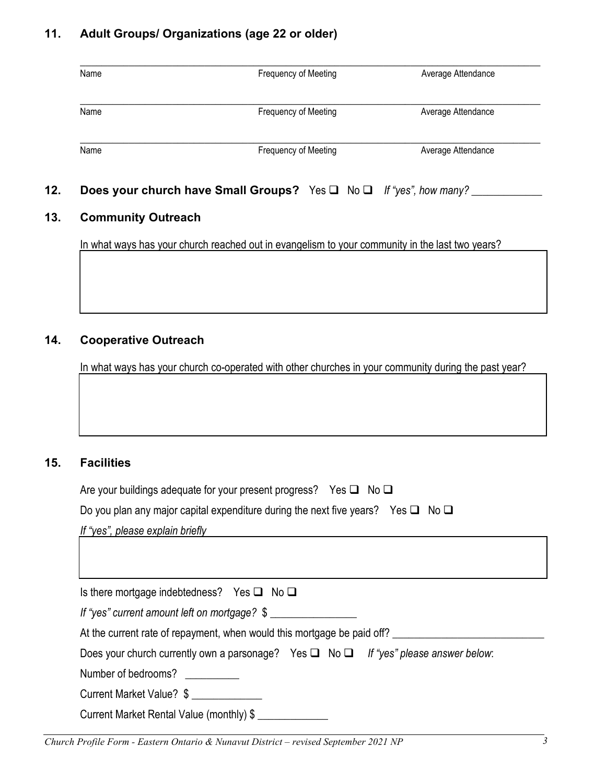# **11. Adult Groups/ Organizations (age 22 or older)**

| <b>Frequency of Meeting</b> | Average Attendance |
|-----------------------------|--------------------|
| Frequency of Meeting        | Average Attendance |
|                             |                    |

### **13. Community Outreach**

In what ways has your church reached out in evangelism to your community in the last two years?

 $\Box$ 

 $\Box$ 

 $\Box$ 

### **14. Cooperative Outreach**

In what ways has your church co-operated with other churches in your community during the past year?

## **15. Facilities**

| Are your buildings adequate for your present progress? Yes $\square$ No $\square$          |
|--------------------------------------------------------------------------------------------|
| Do you plan any major capital expenditure during the next five years? Yes $\Box$ No $\Box$ |
| If "yes", please explain briefly                                                           |
|                                                                                            |
|                                                                                            |
| Is there mortgage indebtedness? Yes $\Box$ No $\Box$                                       |
| If "yes" current amount left on mortgage? \$                                               |
| At the current rate of repayment, when would this mortgage be paid off?                    |

Does your church currently own a parsonage? Yes **□** No **□** If "yes" please answer below:

Number of bedrooms?

Current Market Value? \$

Current Market Rental Value (monthly) \$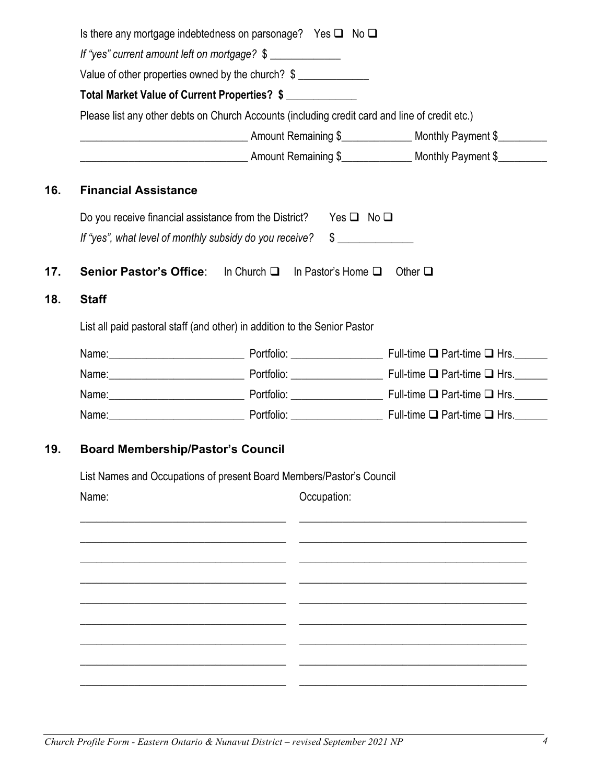|                                                                                                   |                                                                                                                                 | Is there any mortgage indebtedness on parsonage? Yes $\square$ No $\square$ |  |                                                                                                                                                                                                                               |  |  |
|---------------------------------------------------------------------------------------------------|---------------------------------------------------------------------------------------------------------------------------------|-----------------------------------------------------------------------------|--|-------------------------------------------------------------------------------------------------------------------------------------------------------------------------------------------------------------------------------|--|--|
| If "yes" current amount left on mortgage? \$<br>Value of other properties owned by the church? \$ |                                                                                                                                 |                                                                             |  |                                                                                                                                                                                                                               |  |  |
|                                                                                                   |                                                                                                                                 |                                                                             |  |                                                                                                                                                                                                                               |  |  |
| <b>Monthly Payment \$</b> 4mount Remaining \$ 4.000 Monthly Payment \$                            |                                                                                                                                 |                                                                             |  |                                                                                                                                                                                                                               |  |  |
|                                                                                                   |                                                                                                                                 |                                                                             |  |                                                                                                                                                                                                                               |  |  |
|                                                                                                   | <b>Financial Assistance</b>                                                                                                     |                                                                             |  |                                                                                                                                                                                                                               |  |  |
|                                                                                                   | Do you receive financial assistance from the District?<br>Yes $\Box$ No $\Box$                                                  |                                                                             |  |                                                                                                                                                                                                                               |  |  |
|                                                                                                   |                                                                                                                                 | If "yes", what level of monthly subsidy do you receive?                     |  | $\sim$                                                                                                                                                                                                                        |  |  |
|                                                                                                   |                                                                                                                                 |                                                                             |  | Other $\square$                                                                                                                                                                                                               |  |  |
| <b>Staff</b>                                                                                      | Senior Pastor's Office: In Church □ In Pastor's Home □                                                                          |                                                                             |  |                                                                                                                                                                                                                               |  |  |
|                                                                                                   | List all paid pastoral staff (and other) in addition to the Senior Pastor                                                       |                                                                             |  |                                                                                                                                                                                                                               |  |  |
|                                                                                                   |                                                                                                                                 |                                                                             |  | Name: Name: Name: Name: Name: Name: Name: Name: Name: Name: Name: Name: Name: Name: Name: Name: Name: Name: Name: Name: Name: Name: Name: Name: Name: Name: Name: Name: Name: Name: Name: Name: Name: Name: Name: Name: Name: |  |  |
|                                                                                                   |                                                                                                                                 |                                                                             |  | Name: Name: Name: Name: Name: Name: Name: Name: Name: Name: Name: Name: Name: Name: Name: Name: Name: Name: Name: Name: Name: Name: Name: Name: Name: Name: Name: Name: Name: Name: Name: Name: Name: Name: Name: Name: Name: |  |  |
|                                                                                                   |                                                                                                                                 |                                                                             |  |                                                                                                                                                                                                                               |  |  |
|                                                                                                   |                                                                                                                                 |                                                                             |  | Name: Name: Name: Name: Name: Name: Name: Name: Name: Name: Name: Name: Name: Name: Name: Name: Name: Name: Name: Name: Name: Name: Name: Name: Name: Name: Name: Name: Name: Name: Name: Name: Name: Name: Name: Name: Name: |  |  |
| Name:                                                                                             | <b>Board Membership/Pastor's Council</b><br>List Names and Occupations of present Board Members/Pastor's Council<br>Occupation: |                                                                             |  |                                                                                                                                                                                                                               |  |  |
|                                                                                                   |                                                                                                                                 |                                                                             |  |                                                                                                                                                                                                                               |  |  |
|                                                                                                   |                                                                                                                                 |                                                                             |  |                                                                                                                                                                                                                               |  |  |
|                                                                                                   |                                                                                                                                 |                                                                             |  |                                                                                                                                                                                                                               |  |  |
|                                                                                                   |                                                                                                                                 |                                                                             |  |                                                                                                                                                                                                                               |  |  |
|                                                                                                   |                                                                                                                                 |                                                                             |  |                                                                                                                                                                                                                               |  |  |
|                                                                                                   |                                                                                                                                 |                                                                             |  |                                                                                                                                                                                                                               |  |  |
|                                                                                                   |                                                                                                                                 |                                                                             |  |                                                                                                                                                                                                                               |  |  |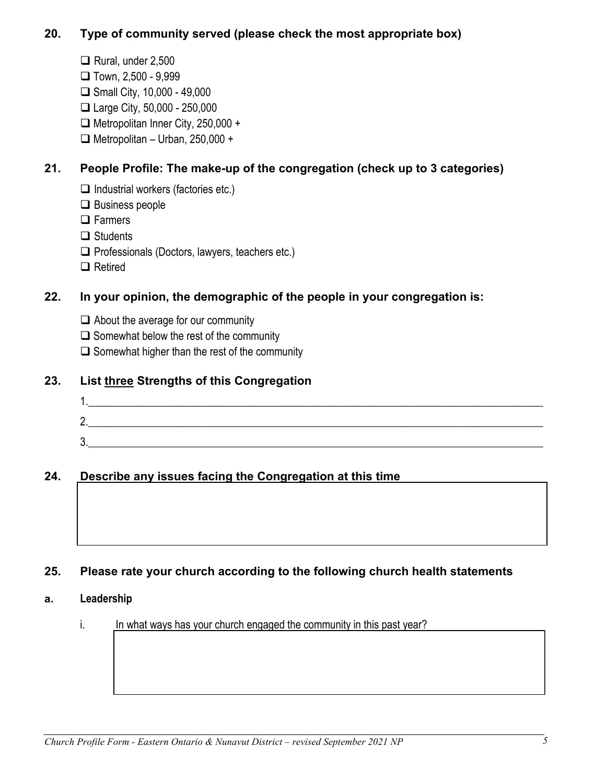# **20. Type of community served (please check the most appropriate box)**

- $\Box$  Rural, under 2,500
- $\Box$  Town, 2,500 9,999
- $\Box$  Small City, 10,000 49,000
- Large City, 50,000 250,000
- □ Metropolitan Inner City, 250,000 +
- $\Box$  Metropolitan Urban, 250,000 +

# **21. People Profile: The make-up of the congregation (check up to 3 categories)**

- $\Box$  Industrial workers (factories etc.)
- $\Box$  Business people
- **□** Farmers
- $\Box$  Students
- $\Box$  Professionals (Doctors, lawyers, teachers etc.)
- □ Retired

# **22. In your opinion, the demographic of the people in your congregation is:**

- $\Box$  About the average for our community
- $\Box$  Somewhat below the rest of the community
- $\Box$  Somewhat higher than the rest of the community

# **23. List three Strengths of this Congregation**



# **24. Describe any issues facing the Congregation at this time**

# **25. Please rate your church according to the following church health statements**

## **a. Leadership**

i. In what ways has your church engaged the community in this past year?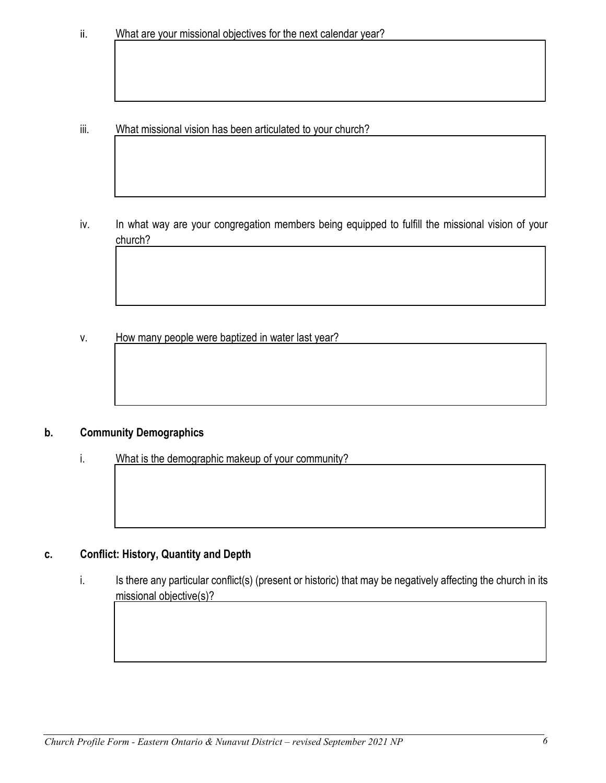What missional vision has been articulated to your church? iii.

In what way are your congregation members being equipped to fulfill the missional vision of your iv. church?

How many people were baptized in water last year? v.

#### **Community Demographics**  $\mathbf{b}$ .

#### What is the demographic makeup of your community? i.

#### **Conflict: History, Quantity and Depth** C.

Is there any particular conflict(s) (present or historic) that may be negatively affecting the church in its i. missional objective(s)?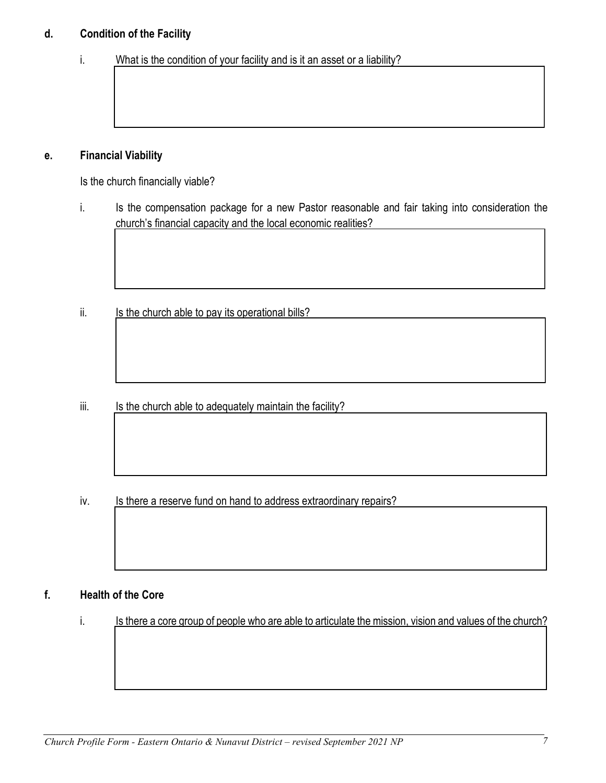#### **Condition of the Facility** d.

What is the condition of your facility and is it an asset or a liability? i.

#### **Financial Viability** е.

Is the church financially viable?

- Is the compensation package for a new Pastor reasonable and fair taking into consideration the i. church's financial capacity and the local economic realities?
- Is the church able to pay its operational bills? ii.

Is the church able to adequately maintain the facility? iii.

Is there a reserve fund on hand to address extraordinary repairs? iv.

#### f. **Health of the Core**

Is there a core group of people who are able to articulate the mission, vision and values of the church? i.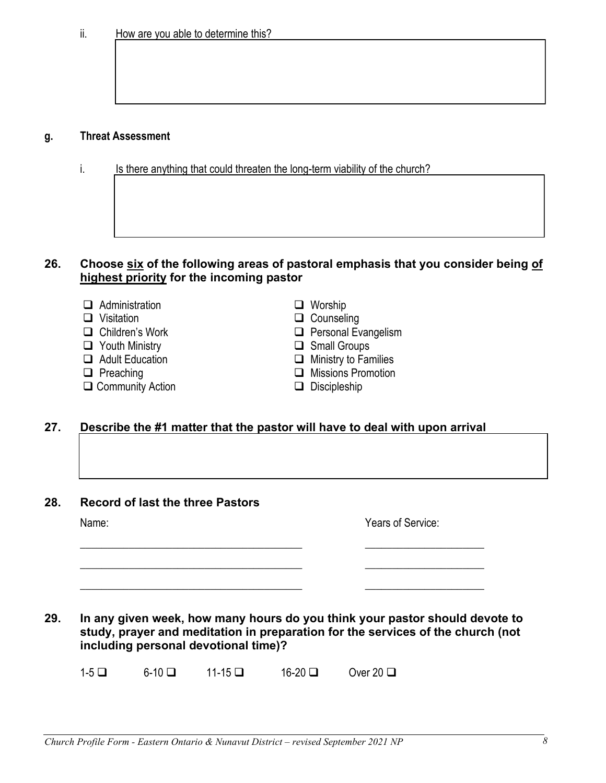### **g. Threat Assessment**

i. Is there anything that could threaten the long-term viability of the church?

### **26. Choose six of the following areas of pastoral emphasis that you consider being of highest priority for the incoming pastor**

- Administration Worship
- 
- 
- 
- □ Youth Ministry □ Small Groups<br>□ Adult Education □ □ Ministry to Far
- 
- $\Box$  Community Action

- $\Box$  Counseling
- □ Children's Work □ Personal Evangelism
	-
	- $\Box$  Ministry to Families
- **□** Preaching **and Community Action Missions Promotion □** Only Discipleship
	-

### **27. Describe the #1 matter that the pastor will have to deal with upon arrival**

**28. Record of last the three Pastors**

Years of Service:

**29. In any given week, how many hours do you think your pastor should devote to study, prayer and meditation in preparation for the services of the church (not including personal devotional time)?**

\_\_\_\_\_\_\_\_\_\_\_\_\_\_\_\_\_\_\_\_\_\_\_\_\_\_\_\_\_\_\_\_\_\_\_\_\_\_\_\_\_ \_\_\_\_\_\_\_\_\_\_\_\_\_\_\_\_\_\_\_\_\_\_

\_\_\_\_\_\_\_\_\_\_\_\_\_\_\_\_\_\_\_\_\_\_\_\_\_\_\_\_\_\_\_\_\_\_\_\_\_\_\_\_\_ \_\_\_\_\_\_\_\_\_\_\_\_\_\_\_\_\_\_\_\_\_\_

\_\_\_\_\_\_\_\_\_\_\_\_\_\_\_\_\_\_\_\_\_\_\_\_\_\_\_\_\_\_\_\_\_\_\_\_\_\_\_\_\_ \_\_\_\_\_\_\_\_\_\_\_\_\_\_\_\_\_\_\_\_\_\_

 $1-5$  6-10 11-15 16-20 Over 20 1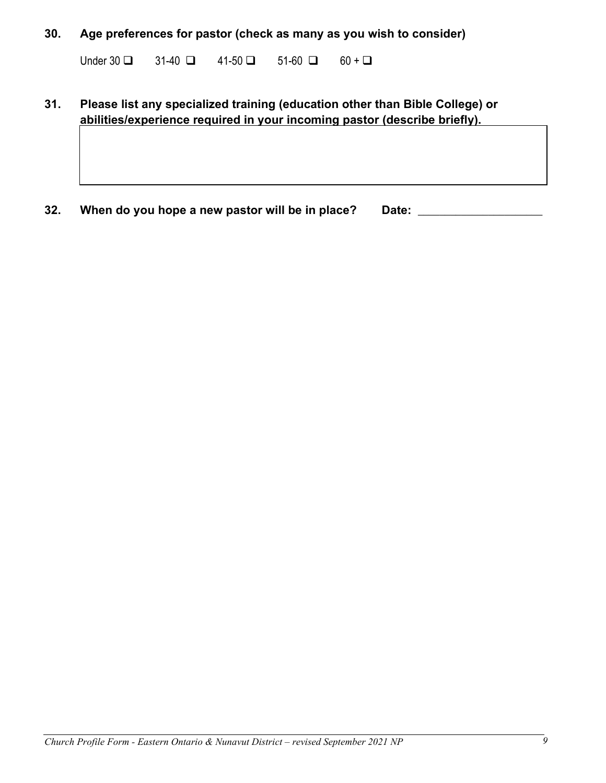### **30. Age preferences for pastor (check as many as you wish to consider)**

Under  $30 \square$   $31-40 \square$   $41-50 \square$   $51-60 \square$   $60+ \square$ 

## **31. Please list any specialized training (education other than Bible College) or abilities/experience required in your incoming pastor (describe briefly).**

**32. When do you hope a new pastor will be in place? Date:** \_\_\_\_\_\_\_\_\_\_\_\_\_\_\_\_\_\_\_\_\_\_\_